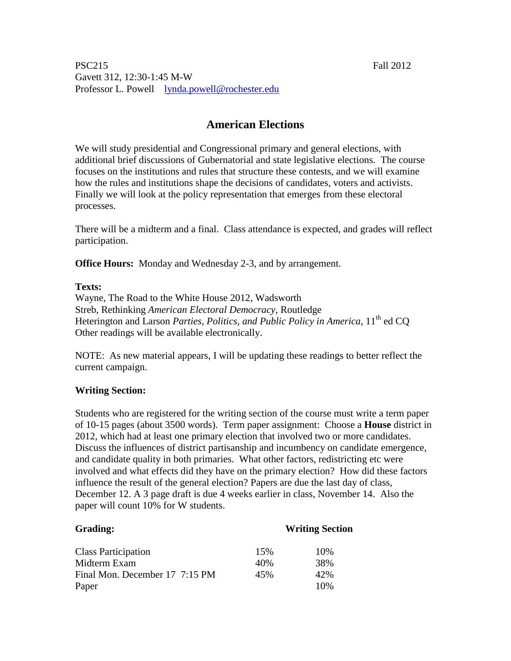PSC215 Fall 2012 Gavett 312, 12:30-1:45 M-W Professor L. Powell lynda.powell@rochester.edu

# **American Elections**

We will study presidential and Congressional primary and general elections, with additional brief discussions of Gubernatorial and state legislative elections. The course focuses on the institutions and rules that structure these contests, and we will examine how the rules and institutions shape the decisions of candidates, voters and activists. Finally we will look at the policy representation that emerges from these electoral processes.

There will be a midterm and a final. Class attendance is expected, and grades will reflect participation.

**Office Hours:** Monday and Wednesday 2-3, and by arrangement.

### **Texts:**

Wayne, The Road to the White House 2012, Wadsworth Streb, Rethinking *American Electoral Democracy*, Routledge Heterington and Larson *Parties, Politics, and Public Policy in America*, 11<sup>th</sup> ed CO Other readings will be available electronically.

NOTE: As new material appears, I will be updating these readings to better reflect the current campaign.

# **Writing Section:**

Students who are registered for the writing section of the course must write a term paper of 10-15 pages (about 3500 words). Term paper assignment: Choose a **House** district in 2012, which had at least one primary election that involved two or more candidates. Discuss the influences of district partisanship and incumbency on candidate emergence, and candidate quality in both primaries. What other factors, redistricting etc were involved and what effects did they have on the primary election? How did these factors influence the result of the general election? Papers are due the last day of class, December 12. A 3 page draft is due 4 weeks earlier in class, November 14. Also the paper will count 10% for W students.

#### **Writing Section**

| <b>Class Participation</b>     | 15% | 10% |
|--------------------------------|-----|-----|
| Midterm Exam                   | 40% | 38% |
| Final Mon. December 17 7:15 PM | 45% | 42% |
| Paper                          |     | 10% |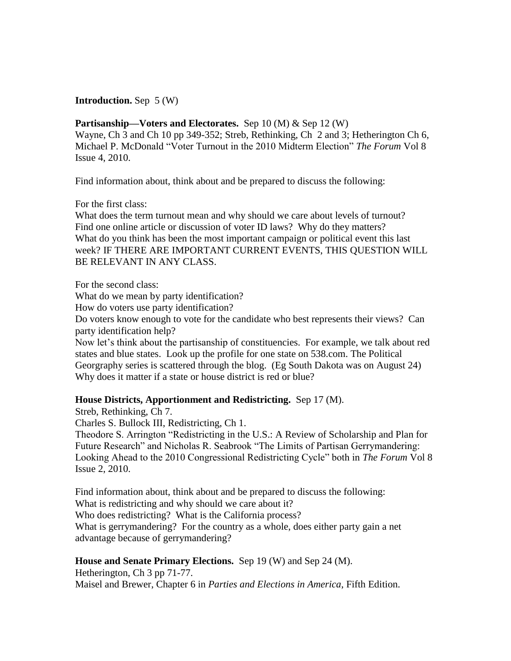## **Introduction.** Sep 5 (W)

Partisanship—Voters and Electorates. Sep 10 (M) & Sep 12 (W) Wayne, Ch 3 and Ch 10 pp 349-352; Streb, Rethinking, Ch 2 and 3; Hetherington Ch 6, Michael P. McDonald "Voter Turnout in the 2010 Midterm Election" *The Forum* Vol 8 Issue 4, 2010.

Find information about, think about and be prepared to discuss the following:

For the first class:

What does the term turnout mean and why should we care about levels of turnout? Find one online article or discussion of voter ID laws? Why do they matters? What do you think has been the most important campaign or political event this last week? IF THERE ARE IMPORTANT CURRENT EVENTS, THIS QUESTION WILL BE RELEVANT IN ANY CLASS.

For the second class:

What do we mean by party identification?

How do voters use party identification?

Do voters know enough to vote for the candidate who best represents their views? Can party identification help?

Now let's think about the partisanship of constituencies. For example, we talk about red states and blue states. Look up the profile for one state on 538.com. The Political Georgraphy series is scattered through the blog. (Eg South Dakota was on August 24) Why does it matter if a state or house district is red or blue?

### **House Districts, Apportionment and Redistricting.** Sep 17 (M).

Streb, Rethinking, Ch 7.

Charles S. Bullock III, Redistricting, Ch 1.

Theodore S. Arrington "Redistricting in the U.S.: A Review of Scholarship and Plan for Future Research" and Nicholas R. Seabrook "The Limits of Partisan Gerrymandering: Looking Ahead to the 2010 Congressional Redistricting Cycle" both in *The Forum* Vol 8 Issue 2, 2010.

Find information about, think about and be prepared to discuss the following: What is redistricting and why should we care about it? Who does redistricting? What is the California process? What is gerrymandering? For the country as a whole, does either party gain a net advantage because of gerrymandering?

### **House and Senate Primary Elections.** Sep 19 (W) and Sep 24 (M).

Hetherington, Ch 3 pp 71-77. Maisel and Brewer, Chapter 6 in *Parties and Elections in America*, Fifth Edition.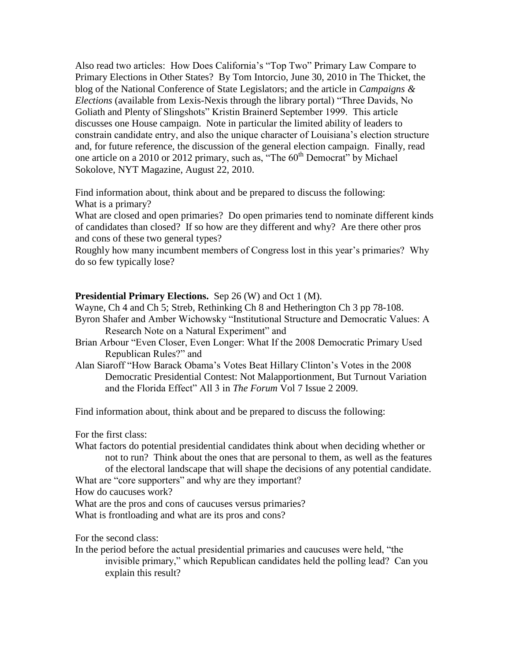Also read two articles: How Does California's "Top Two" Primary Law Compare to Primary Elections in Other States? By Tom Intorcio, June 30, 2010 in The Thicket, the blog of the National Conference of State Legislators; and the article in *Campaigns & Elections* (available from Lexis-Nexis through the library portal) "Three Davids, No Goliath and Plenty of Slingshots" Kristin Brainerd September 1999. This article discusses one House campaign. Note in particular the limited ability of leaders to constrain candidate entry, and also the unique character of Louisiana's election structure and, for future reference, the discussion of the general election campaign. Finally, read one article on a 2010 or 2012 primary, such as, "The 60<sup>th</sup> Democrat" by Michael Sokolove, NYT Magazine, August 22, 2010.

Find information about, think about and be prepared to discuss the following: What is a primary?

What are closed and open primaries? Do open primaries tend to nominate different kinds of candidates than closed? If so how are they different and why? Are there other pros and cons of these two general types?

Roughly how many incumbent members of Congress lost in this year's primaries? Why do so few typically lose?

## **Presidential Primary Elections.** Sep 26 (W) and Oct 1 (M).

Wayne, Ch 4 and Ch 5; Streb, Rethinking Ch 8 and Hetherington Ch 3 pp 78-108. Byron Shafer and Amber Wichowsky "Institutional Structure and Democratic Values: A Research Note on a Natural Experiment" and

- Brian Arbour "Even Closer, Even Longer: What If the 2008 Democratic Primary Used Republican Rules?" and
- Alan Siaroff "How Barack Obama's Votes Beat Hillary Clinton's Votes in the 2008 Democratic Presidential Contest: Not Malapportionment, But Turnout Variation and the Florida Effect" All 3 in *The Forum* Vol 7 Issue 2 2009.

Find information about, think about and be prepared to discuss the following:

For the first class:

What factors do potential presidential candidates think about when deciding whether or not to run? Think about the ones that are personal to them, as well as the features of the electoral landscape that will shape the decisions of any potential candidate.

What are "core supporters" and why are they important?

How do caucuses work?

What are the pros and cons of caucuses versus primaries?

What is frontloading and what are its pros and cons?

For the second class:

In the period before the actual presidential primaries and caucuses were held, "the invisible primary," which Republican candidates held the polling lead? Can you explain this result?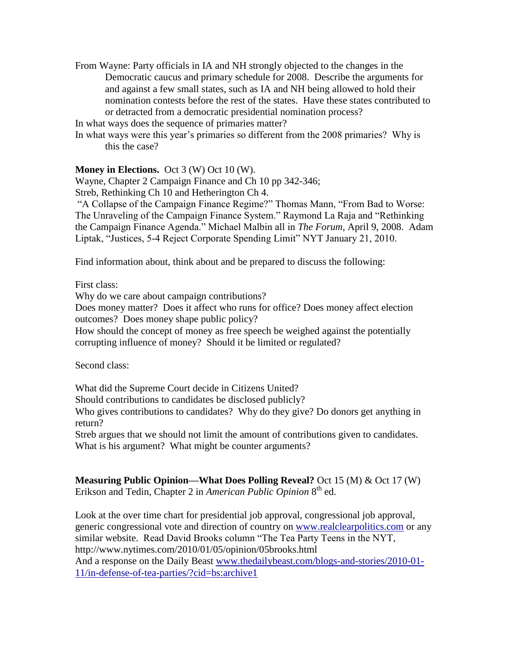From Wayne: Party officials in IA and NH strongly objected to the changes in the Democratic caucus and primary schedule for 2008. Describe the arguments for and against a few small states, such as IA and NH being allowed to hold their nomination contests before the rest of the states. Have these states contributed to or detracted from a democratic presidential nomination process?

In what ways does the sequence of primaries matter?

In what ways were this year's primaries so different from the 2008 primaries? Why is this the case?

**Money in Elections.** Oct 3 (W) Oct 10 (W).

Wayne, Chapter 2 Campaign Finance and Ch 10 pp 342-346; Streb, Rethinking Ch 10 and Hetherington Ch 4.

"A Collapse of the Campaign Finance Regime?" Thomas Mann, "From Bad to Worse: The Unraveling of the Campaign Finance System." Raymond La Raja and "Rethinking the Campaign Finance Agenda." Michael Malbin all in *The Forum*, April 9, 2008. Adam Liptak, "Justices, 5-4 Reject Corporate Spending Limit" NYT January 21, 2010.

Find information about, think about and be prepared to discuss the following:

First class:

Why do we care about campaign contributions?

Does money matter? Does it affect who runs for office? Does money affect election outcomes? Does money shape public policy?

How should the concept of money as free speech be weighed against the potentially corrupting influence of money? Should it be limited or regulated?

Second class:

What did the Supreme Court decide in Citizens United?

Should contributions to candidates be disclosed publicly?

Who gives contributions to candidates? Why do they give? Do donors get anything in return?

Streb argues that we should not limit the amount of contributions given to candidates. What is his argument? What might be counter arguments?

**Measuring Public Opinion—What Does Polling Reveal?** Oct 15 (M) & Oct 17 (W) Erikson and Tedin, Chapter 2 in *American Public Opinion* 8<sup>th</sup> ed.

Look at the over time chart for presidential job approval, congressional job approval, generic congressional vote and direction of country on [www.realclearpolitics.com](http://www.realclearpolitics.com/) or any similar website. Read David Brooks column "The Tea Party Teens in the NYT, http://www.nytimes.com/2010/01/05/opinion/05brooks.html And a response on the Daily Beast [www.thedailybeast.com/blogs-and-stories/2010-01-](http://www.thedailybeast.com/blogs-and-stories/2010-01-11/in-defense-of-tea-parties/?cid=bs:archive1)

[11/in-defense-of-tea-parties/?cid=bs:archive1](http://www.thedailybeast.com/blogs-and-stories/2010-01-11/in-defense-of-tea-parties/?cid=bs:archive1)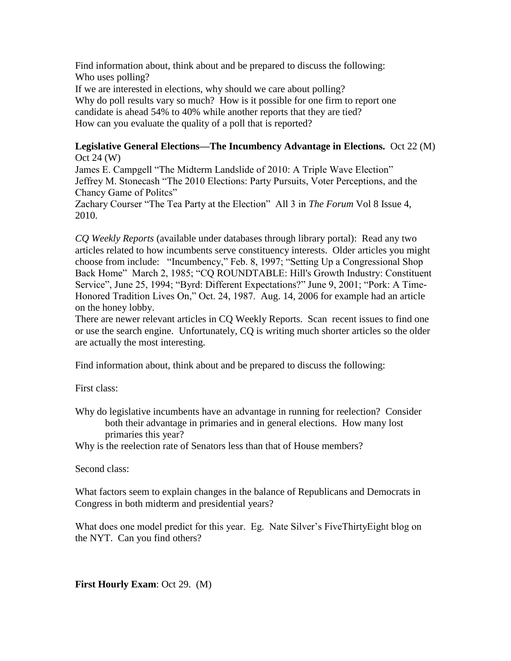Find information about, think about and be prepared to discuss the following: Who uses polling? If we are interested in elections, why should we care about polling? Why do poll results vary so much? How is it possible for one firm to report one candidate is ahead 54% to 40% while another reports that they are tied? How can you evaluate the quality of a poll that is reported?

#### **Legislative General Elections—The Incumbency Advantage in Elections.** Oct 22 (M) Oct 24 (W)

James E. Campgell "The Midterm Landslide of 2010: A Triple Wave Election" Jeffrey M. Stonecash "The 2010 Elections: Party Pursuits, Voter Perceptions, and the Chancy Game of Politcs" Zachary Courser "The Tea Party at the Election" All 3 in *The Forum* Vol 8 Issue 4, 2010.

*CQ Weekly Reports* (available under databases through library portal): Read any two articles related to how incumbents serve constituency interests. Older articles you might choose from include: "Incumbency," Feb. 8, 1997; "Setting Up a Congressional Shop Back Home" March 2, 1985; "CQ ROUNDTABLE: Hill's Growth Industry: Constituent Service", June 25, 1994; "Byrd: Different Expectations?" June 9, 2001; "Pork: A Time-Honored Tradition Lives On," Oct. 24, 1987. Aug. 14, 2006 for example had an article on the honey lobby.

There are newer relevant articles in CQ Weekly Reports. Scan recent issues to find one or use the search engine. Unfortunately, CQ is writing much shorter articles so the older are actually the most interesting.

Find information about, think about and be prepared to discuss the following:

First class:

Why do legislative incumbents have an advantage in running for reelection? Consider both their advantage in primaries and in general elections. How many lost primaries this year?

Why is the reelection rate of Senators less than that of House members?

Second class:

What factors seem to explain changes in the balance of Republicans and Democrats in Congress in both midterm and presidential years?

What does one model predict for this year. Eg. Nate Silver's FiveThirtyEight blog on the NYT. Can you find others?

**First Hourly Exam**: Oct 29. (M)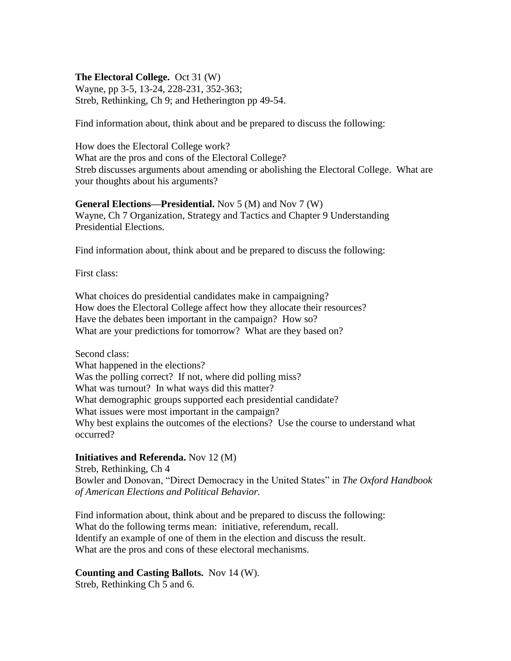### **The Electoral College.** Oct 31 (W)

Wayne, pp 3-5, 13-24, 228-231, 352-363; Streb, Rethinking, Ch 9; and Hetherington pp 49-54.

Find information about, think about and be prepared to discuss the following:

How does the Electoral College work? What are the pros and cons of the Electoral College? Streb discusses arguments about amending or abolishing the Electoral College. What are your thoughts about his arguments?

#### **General Elections—Presidential.** Nov 5 (M) and Nov 7 (W) Wayne, Ch 7 Organization, Strategy and Tactics and Chapter 9 Understanding Presidential Elections.

Find information about, think about and be prepared to discuss the following:

First class:

What choices do presidential candidates make in campaigning? How does the Electoral College affect how they allocate their resources? Have the debates been important in the campaign? How so? What are your predictions for tomorrow? What are they based on?

Second class: What happened in the elections? Was the polling correct? If not, where did polling miss? What was turnout? In what ways did this matter? What demographic groups supported each presidential candidate? What issues were most important in the campaign? Why best explains the outcomes of the elections? Use the course to understand what occurred?

### **Initiatives and Referenda.** Nov 12 (M)

Streb, Rethinking, Ch 4 Bowler and Donovan, "Direct Democracy in the United States" in *The Oxford Handbook of American Elections and Political Behavior.*

Find information about, think about and be prepared to discuss the following: What do the following terms mean: initiative, referendum, recall. Identify an example of one of them in the election and discuss the result. What are the pros and cons of these electoral mechanisms.

# **Counting and Casting Ballots.** Nov 14 (W).

Streb, Rethinking Ch 5 and 6.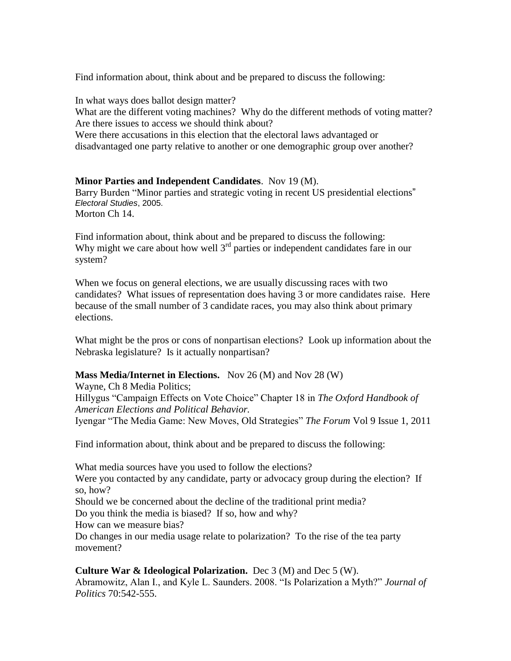Find information about, think about and be prepared to discuss the following:

In what ways does ballot design matter? What are the different voting machines? Why do the different methods of voting matter? Are there issues to access we should think about? Were there accusations in this election that the electoral laws advantaged or

disadvantaged one party relative to another or one demographic group over another?

**Minor Parties and Independent Candidates**. Nov 19 (M). Barry Burden ["Minor parties and strategic voting in recent US presidential elections](http://linkinghub.elsevier.com/retrieve/pii/S0261379405000223)" *Electoral Studies*, 2005. Morton Ch 14.

Find information about, think about and be prepared to discuss the following: Why might we care about how well  $3<sup>rd</sup>$  parties or independent candidates fare in our system?

When we focus on general elections, we are usually discussing races with two candidates? What issues of representation does having 3 or more candidates raise. Here because of the small number of 3 candidate races, you may also think about primary elections.

What might be the pros or cons of nonpartisan elections? Look up information about the Nebraska legislature? Is it actually nonpartisan?

# **Mass Media/Internet in Elections.** Nov 26 (M) and Nov 28 (W)

Wayne, Ch 8 Media Politics; Hillygus "Campaign Effects on Vote Choice" Chapter 18 in *The Oxford Handbook of American Elections and Political Behavior.* Iyengar "The Media Game: New Moves, Old Strategies" *The Forum* Vol 9 Issue 1, 2011

Find information about, think about and be prepared to discuss the following:

What media sources have you used to follow the elections? Were you contacted by any candidate, party or advocacy group during the election? If so, how? Should we be concerned about the decline of the traditional print media? Do you think the media is biased? If so, how and why? How can we measure bias? Do changes in our media usage relate to polarization? To the rise of the tea party movement?

**Culture War & Ideological Polarization.** Dec 3 (M) and Dec 5 (W). Abramowitz, Alan I., and Kyle L. Saunders. 2008. "Is Polarization a Myth?" *Journal of Politics* 70:542-555.